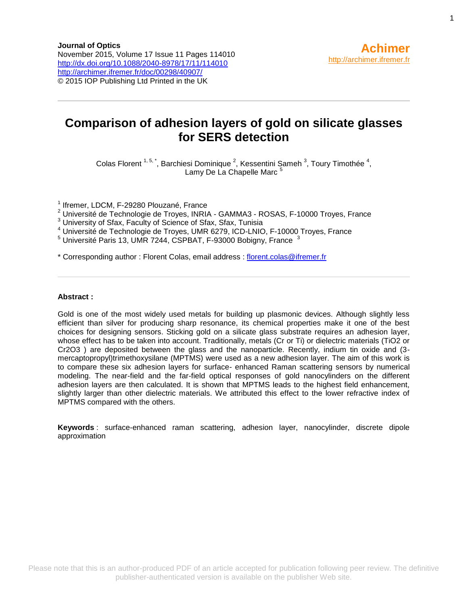# **Comparison of adhesion layers of gold on silicate glasses for SERS detection**

Colas Florent  $1, 5, \dot{ }$ , Barchiesi Dominique  $^2$ , Kessentini Sameh  $^3$ , Toury Timothée  $^4$ , Lamy De La Chapelle Marc<sup>5</sup>

<sup>1</sup> Ifremer, LDCM, F-29280 Plouzané, France

<sup>2</sup> Université de Technologie de Troyes, INRIA - GAMMA3 - ROSAS, F-10000 Troyes, France

<sup>3</sup> University of Sfax, Faculty of Science of Sfax, Sfax, Tunisia

<sup>4</sup> Université de Technologie de Troyes, UMR 6279, ICD-LNIO, F-10000 Troyes, France

 $5$  Université Paris 13, UMR 7244, CSPBAT, F-93000 Bobigny, France  $3$ 

\* Corresponding author : Florent Colas, email address : [florent.colas@ifremer.fr](mailto:florent.colas@ifremer.fr)

#### **Abstract :**

Gold is one of the most widely used metals for building up plasmonic devices. Although slightly less efficient than silver for producing sharp resonance, its chemical properties make it one of the best choices for designing sensors. Sticking gold on a silicate glass substrate requires an adhesion layer, whose effect has to be taken into account. Traditionally, metals (Cr or Ti) or dielectric materials (TiO2 or Cr2O3 ) are deposited between the glass and the nanoparticle. Recently, indium tin oxide and (3 mercaptopropyl)trimethoxysilane (MPTMS) were used as a new adhesion layer. The aim of this work is to compare these six adhesion layers for surface- enhanced Raman scattering sensors by numerical modeling. The near-field and the far-field optical responses of gold nanocylinders on the different adhesion layers are then calculated. It is shown that MPTMS leads to the highest field enhancement, slightly larger than other dielectric materials. We attributed this effect to the lower refractive index of MPTMS compared with the others.

**Keywords** : surface-enhanced raman scattering, adhesion layer, nanocylinder, discrete dipole approximation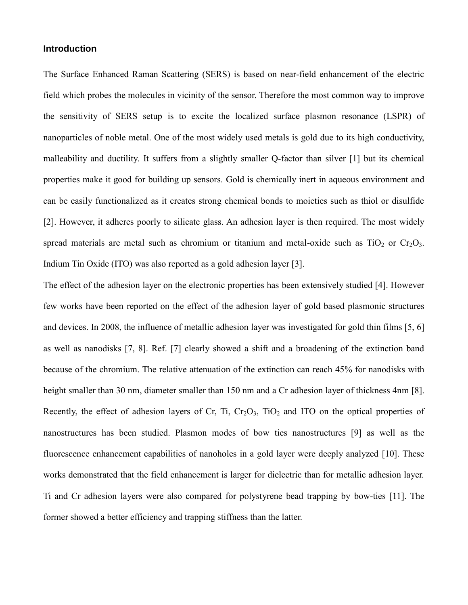## **Introduction**

The Surface Enhanced Raman Scattering (SERS) is based on near-field enhancement of the electric field which probes the molecules in vicinity of the sensor. Therefore the most common way to improve the sensitivity of SERS setup is to excite the localized surface plasmon resonance (LSPR) of nanoparticles of noble metal. One of the most widely used metals is gold due to its high conductivity, malleability and ductility. It suffers from a slightly smaller Q-factor than silver [1] but its chemical properties make it good for building up sensors. Gold is chemically inert in aqueous environment and can be easily functionalized as it creates strong chemical bonds to moieties such as thiol or disulfide [2]. However, it adheres poorly to silicate glass. An adhesion layer is then required. The most widely spread materials are metal such as chromium or titanium and metal-oxide such as  $TiO<sub>2</sub>$  or  $Cr<sub>2</sub>O<sub>3</sub>$ . Indium Tin Oxide (ITO) was also reported as a gold adhesion layer [3].

The effect of the adhesion layer on the electronic properties has been extensively studied [4]. However few works have been reported on the effect of the adhesion layer of gold based plasmonic structures and devices. In 2008, the influence of metallic adhesion layer was investigated for gold thin films [5, 6] as well as nanodisks [7, 8]. Ref. [7] clearly showed a shift and a broadening of the extinction band because of the chromium. The relative attenuation of the extinction can reach 45% for nanodisks with height smaller than 30 nm, diameter smaller than 150 nm and a Cr adhesion layer of thickness 4nm [8]. Recently, the effect of adhesion layers of Cr, Ti,  $Cr_2O_3$ , TiO<sub>2</sub> and ITO on the optical properties of nanostructures has been studied. Plasmon modes of bow ties nanostructures [9] as well as the fluorescence enhancement capabilities of nanoholes in a gold layer were deeply analyzed [10]. These works demonstrated that the field enhancement is larger for dielectric than for metallic adhesion layer. Ti and Cr adhesion layers were also compared for polystyrene bead trapping by bow-ties [11]. The former showed a better efficiency and trapping stiffness than the latter.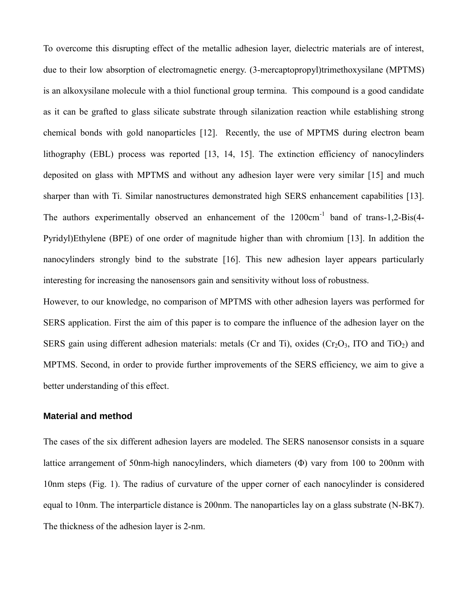To overcome this disrupting effect of the metallic adhesion layer, dielectric materials are of interest, due to their low absorption of electromagnetic energy. (3-mercaptopropyl)trimethoxysilane (MPTMS) is an alkoxysilane molecule with a thiol functional group termina. This compound is a good candidate as it can be grafted to glass silicate substrate through silanization reaction while establishing strong chemical bonds with gold nanoparticles [12]. Recently, the use of MPTMS during electron beam lithography (EBL) process was reported [13, 14, 15]. The extinction efficiency of nanocylinders deposited on glass with MPTMS and without any adhesion layer were very similar [15] and much sharper than with Ti. Similar nanostructures demonstrated high SERS enhancement capabilities [13]. The authors experimentally observed an enhancement of the 1200cm<sup>-1</sup> band of trans-1,2-Bis(4-Pyridyl)Ethylene (BPE) of one order of magnitude higher than with chromium [13]. In addition the nanocylinders strongly bind to the substrate [16]. This new adhesion layer appears particularly interesting for increasing the nanosensors gain and sensitivity without loss of robustness.

However, to our knowledge, no comparison of MPTMS with other adhesion layers was performed for SERS application. First the aim of this paper is to compare the influence of the adhesion layer on the SERS gain using different adhesion materials: metals (Cr and Ti), oxides ( $Cr_2O_3$ , ITO and TiO<sub>2</sub>) and MPTMS. Second, in order to provide further improvements of the SERS efficiency, we aim to give a better understanding of this effect.

# **Material and method**

The cases of the six different adhesion layers are modeled. The SERS nanosensor consists in a square lattice arrangement of 50nm-high nanocylinders, which diameters (Φ) vary from 100 to 200nm with 10nm steps (Fig. 1). The radius of curvature of the upper corner of each nanocylinder is considered equal to 10nm. The interparticle distance is 200nm. The nanoparticles lay on a glass substrate (N-BK7). The thickness of the adhesion layer is 2-nm.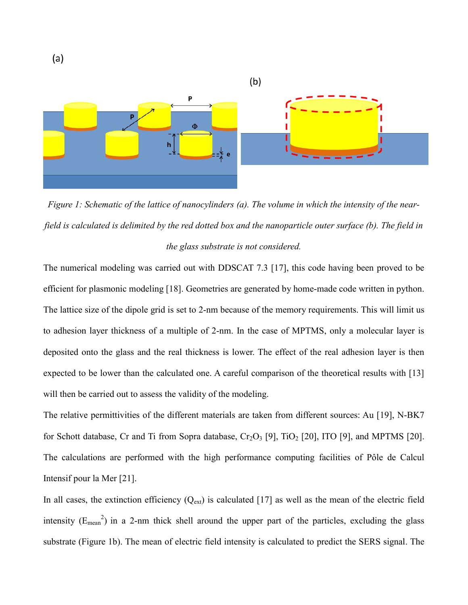

*Figure 1: Schematic of the lattice of nanocylinders (a). The volume in which the intensity of the nearfield is calculated is delimited by the red dotted box and the nanoparticle outer surface (b). The field in the glass substrate is not considered.* 

The numerical modeling was carried out with DDSCAT 7.3 [17], this code having been proved to be efficient for plasmonic modeling [18]. Geometries are generated by home-made code written in python. The lattice size of the dipole grid is set to 2-nm because of the memory requirements. This will limit us to adhesion layer thickness of a multiple of 2-nm. In the case of MPTMS, only a molecular layer is deposited onto the glass and the real thickness is lower. The effect of the real adhesion layer is then expected to be lower than the calculated one. A careful comparison of the theoretical results with [13] will then be carried out to assess the validity of the modeling.

The relative permittivities of the different materials are taken from different sources: Au [19], N-BK7 for Schott database, Cr and Ti from Sopra database,  $Cr_2O_3$  [9], TiO<sub>2</sub> [20], ITO [9], and MPTMS [20]. The calculations are performed with the high performance computing facilities of Pôle de Calcul Intensif pour la Mer [21].

In all cases, the extinction efficiency  $(Q_{ext})$  is calculated [17] as well as the mean of the electric field intensity ( $E_{mean}^2$ ) in a 2-nm thick shell around the upper part of the particles, excluding the glass substrate (Figure 1b). The mean of electric field intensity is calculated to predict the SERS signal. The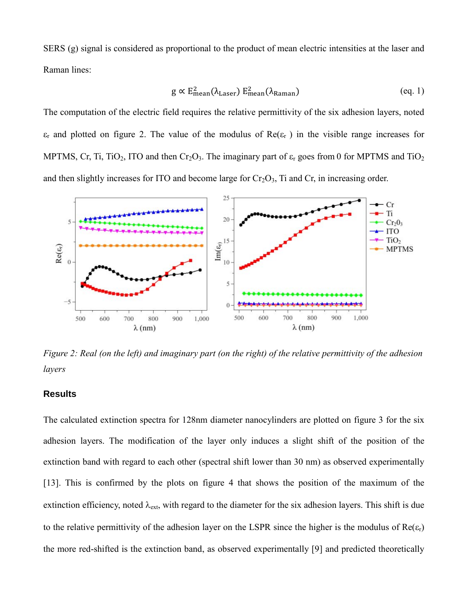SERS (g) signal is considered as proportional to the product of mean electric intensities at the laser and Raman lines:

$$
g \propto E_{\text{mean}}^2(\lambda_{\text{Laser}}) E_{\text{mean}}^2(\lambda_{\text{Raman}}) \tag{eq. 1}
$$

The computation of the electric field requires the relative permittivity of the six adhesion layers, noted  $\varepsilon_r$  and plotted on figure 2. The value of the modulus of  $\text{Re}(\varepsilon_r)$  in the visible range increases for MPTMS, Cr, Ti, TiO<sub>2</sub>, ITO and then Cr<sub>2</sub>O<sub>3</sub>. The imaginary part of  $\varepsilon_r$  goes from 0 for MPTMS and TiO<sub>2</sub> and then slightly increases for ITO and become large for  $Cr_2O_3$ , Ti and  $Cr$ , in increasing order.



*Figure 2: Real (on the left) and imaginary part (on the right) of the relative permittivity of the adhesion layers*

#### **Results**

The calculated extinction spectra for 128nm diameter nanocylinders are plotted on figure 3 for the six adhesion layers. The modification of the layer only induces a slight shift of the position of the extinction band with regard to each other (spectral shift lower than 30 nm) as observed experimentally [13]. This is confirmed by the plots on figure 4 that shows the position of the maximum of the extinction efficiency, noted  $\lambda_{ext}$ , with regard to the diameter for the six adhesion layers. This shift is due to the relative permittivity of the adhesion layer on the LSPR since the higher is the modulus of  $\text{Re}(\varepsilon_r)$ the more red-shifted is the extinction band, as observed experimentally [9] and predicted theoretically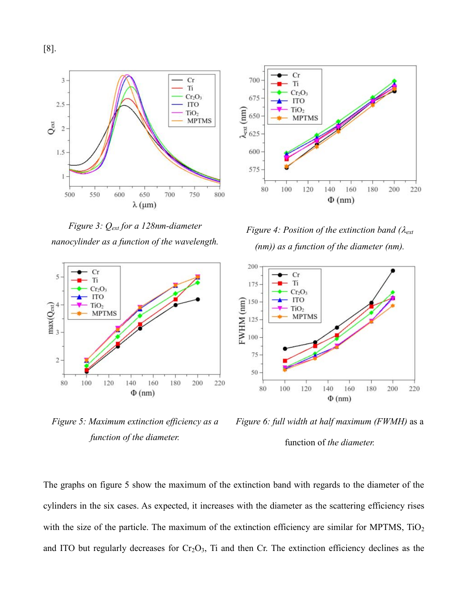[8].



*Figure 3: Qext for a 128nm-diameter nanocylinder as a function of the wavelength.*



*Figure 5: Maximum extinction efficiency as a function of the diameter.*



*Figure 4: Position of the extinction band (* $\lambda_{ext}$ *) (nm)) as a function of the diameter (nm).*



*Figure 6: full width at half maximum (FWMH)* as a function of *the diameter.*

The graphs on figure 5 show the maximum of the extinction band with regards to the diameter of the cylinders in the six cases. As expected, it increases with the diameter as the scattering efficiency rises with the size of the particle. The maximum of the extinction efficiency are similar for MPTMS,  $TiO<sub>2</sub>$ and ITO but regularly decreases for  $Cr_2O_3$ , Ti and then Cr. The extinction efficiency declines as the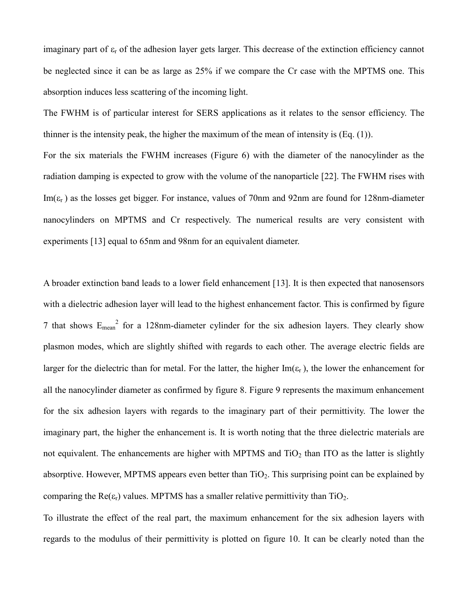imaginary part of  $\varepsilon_r$  of the adhesion layer gets larger. This decrease of the extinction efficiency cannot be neglected since it can be as large as 25% if we compare the Cr case with the MPTMS one. This absorption induces less scattering of the incoming light.

The FWHM is of particular interest for SERS applications as it relates to the sensor efficiency. The thinner is the intensity peak, the higher the maximum of the mean of intensity is (Eq. (1)). For the six materials the FWHM increases (Figure 6) with the diameter of the nanocylinder as the radiation damping is expected to grow with the volume of the nanoparticle [22]. The FWHM rises with

 $Im(\epsilon_r)$  as the losses get bigger. For instance, values of 70nm and 92nm are found for 128nm-diameter nanocylinders on MPTMS and Cr respectively. The numerical results are very consistent with experiments [13] equal to 65nm and 98nm for an equivalent diameter.

A broader extinction band leads to a lower field enhancement [13]. It is then expected that nanosensors with a dielectric adhesion layer will lead to the highest enhancement factor. This is confirmed by figure 7 that shows  $E_{mean}^2$  for a 128nm-diameter cylinder for the six adhesion layers. They clearly show plasmon modes, which are slightly shifted with regards to each other. The average electric fields are larger for the dielectric than for metal. For the latter, the higher Im( $\varepsilon_r$ ), the lower the enhancement for all the nanocylinder diameter as confirmed by figure 8. Figure 9 represents the maximum enhancement for the six adhesion layers with regards to the imaginary part of their permittivity. The lower the imaginary part, the higher the enhancement is. It is worth noting that the three dielectric materials are not equivalent. The enhancements are higher with MPTMS and  $TiO<sub>2</sub>$  than ITO as the latter is slightly absorptive. However, MPTMS appears even better than  $TiO<sub>2</sub>$ . This surprising point can be explained by comparing the  $\text{Re}(\epsilon_{r})$  values. MPTMS has a smaller relative permittivity than  $\text{TiO}_2$ .

To illustrate the effect of the real part, the maximum enhancement for the six adhesion layers with regards to the modulus of their permittivity is plotted on figure 10. It can be clearly noted than the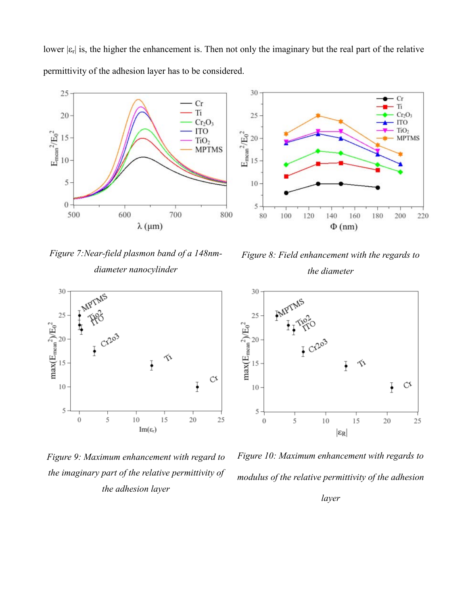lower  $|\epsilon_{r}|$  is, the higher the enhancement is. Then not only the imaginary but the real part of the relative permittivity of the adhesion layer has to be considered.

30

25

10

 $5 -$ 

 $80\,$ 

100

120







*Figure 9: Maximum enhancement with regard to the imaginary part of the relative permittivity of the adhesion layer*



140

160

 $\Phi$ (nm)

180

Cr

 $\overline{\textbf{n}}$ 

 $Cr<sub>2</sub>O<sub>3</sub>$ 

**MPTMS** 

 $_{\rm ITO}$  $TiO<sub>2</sub>$ 

200

220

*the diameter*



*Figure 10: Maximum enhancement with regards to modulus of the relative permittivity of the adhesion* 

*layer*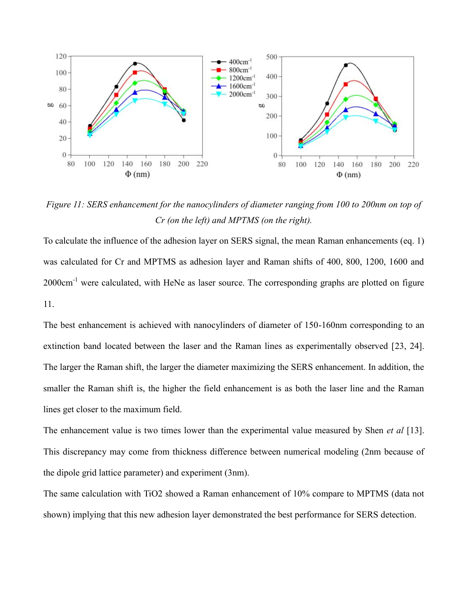

*Figure 11: SERS enhancement for the nanocylinders of diameter ranging from 100 to 200nm on top of Cr (on the left) and MPTMS (on the right).*

To calculate the influence of the adhesion layer on SERS signal, the mean Raman enhancements (eq. 1) was calculated for Cr and MPTMS as adhesion layer and Raman shifts of 400, 800, 1200, 1600 and 2000cm<sup>-1</sup> were calculated, with HeNe as laser source. The corresponding graphs are plotted on figure 11.

The best enhancement is achieved with nanocylinders of diameter of 150-160nm corresponding to an extinction band located between the laser and the Raman lines as experimentally observed [23, 24]. The larger the Raman shift, the larger the diameter maximizing the SERS enhancement. In addition, the smaller the Raman shift is, the higher the field enhancement is as both the laser line and the Raman lines get closer to the maximum field.

The enhancement value is two times lower than the experimental value measured by Shen *et al* [13]. This discrepancy may come from thickness difference between numerical modeling (2nm because of the dipole grid lattice parameter) and experiment (3nm).

The same calculation with TiO2 showed a Raman enhancement of 10% compare to MPTMS (data not shown) implying that this new adhesion layer demonstrated the best performance for SERS detection.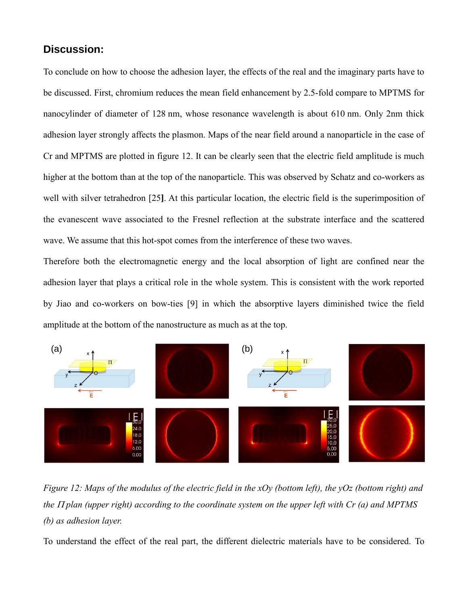# **Discussion:**

To conclude on how to choose the adhesion layer, the effects of the real and the imaginary parts have to be discussed. First, chromium reduces the mean field enhancement by 2.5-fold compare to MPTMS for nanocylinder of diameter of 128 nm, whose resonance wavelength is about 610 nm. Only 2nm thick adhesion layer strongly affects the plasmon. Maps of the near field around a nanoparticle in the case of Cr and MPTMS are plotted in figure 12. It can be clearly seen that the electric field amplitude is much higher at the bottom than at the top of the nanoparticle. This was observed by Schatz and co-workers as well with silver tetrahedron [25**]**. At this particular location, the electric field is the superimposition of the evanescent wave associated to the Fresnel reflection at the substrate interface and the scattered wave. We assume that this hot-spot comes from the interference of these two waves.

Therefore both the electromagnetic energy and the local absorption of light are confined near the adhesion layer that plays a critical role in the whole system. This is consistent with the work reported by Jiao and co-workers on bow-ties [9] in which the absorptive layers diminished twice the field amplitude at the bottom of the nanostructure as much as at the top.



*Figure 12: Maps of the modulus of the electric field in the xOy (bottom left), the yOz (bottom right) and the*  $\Pi$  *plan (upper right) according to the coordinate system on the upper left with Cr (a) and MPTMS (b) as adhesion layer.*

To understand the effect of the real part, the different dielectric materials have to be considered. To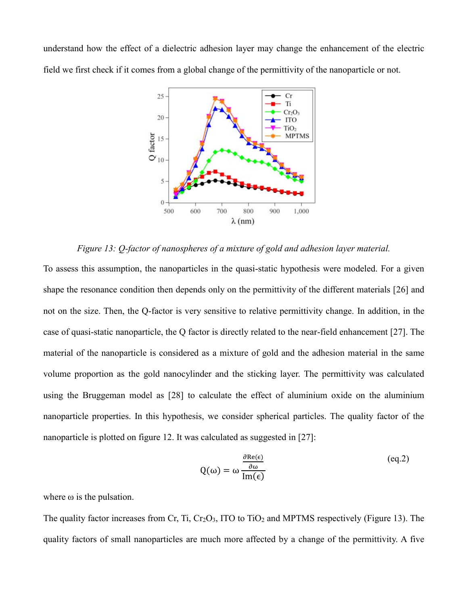understand how the effect of a dielectric adhesion layer may change the enhancement of the electric field we first check if it comes from a global change of the permittivity of the nanoparticle or not.



*Figure 13: Q-factor of nanospheres of a mixture of gold and adhesion layer material.*

To assess this assumption, the nanoparticles in the quasi-static hypothesis were modeled. For a given shape the resonance condition then depends only on the permittivity of the different materials [26] and not on the size. Then, the Q-factor is very sensitive to relative permittivity change. In addition, in the case of quasi-static nanoparticle, the Q factor is directly related to the near-field enhancement [27]. The material of the nanoparticle is considered as a mixture of gold and the adhesion material in the same volume proportion as the gold nanocylinder and the sticking layer. The permittivity was calculated using the Bruggeman model as [28] to calculate the effect of aluminium oxide on the aluminium nanoparticle properties. In this hypothesis, we consider spherical particles. The quality factor of the nanoparticle is plotted on figure 12. It was calculated as suggested in [27]:

$$
Q(\omega) = \omega \frac{\frac{\partial \text{Re}(\epsilon)}{\partial \omega}}{\text{Im}(\epsilon)}
$$
(eq.2)

where  $\omega$  is the pulsation.

The quality factor increases from Cr, Ti,  $Cr_2O_3$ , ITO to TiO<sub>2</sub> and MPTMS respectively (Figure 13). The quality factors of small nanoparticles are much more affected by a change of the permittivity. A five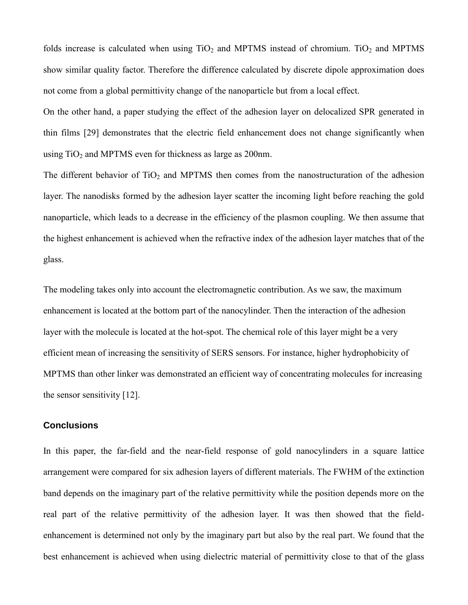folds increase is calculated when using  $TiO<sub>2</sub>$  and MPTMS instead of chromium. TiO<sub>2</sub> and MPTMS show similar quality factor. Therefore the difference calculated by discrete dipole approximation does not come from a global permittivity change of the nanoparticle but from a local effect.

On the other hand, a paper studying the effect of the adhesion layer on delocalized SPR generated in thin films [29] demonstrates that the electric field enhancement does not change significantly when using  $TiO<sub>2</sub>$  and MPTMS even for thickness as large as 200nm.

The different behavior of  $TiO<sub>2</sub>$  and MPTMS then comes from the nanostructuration of the adhesion layer. The nanodisks formed by the adhesion layer scatter the incoming light before reaching the gold nanoparticle, which leads to a decrease in the efficiency of the plasmon coupling. We then assume that the highest enhancement is achieved when the refractive index of the adhesion layer matches that of the glass.

The modeling takes only into account the electromagnetic contribution. As we saw, the maximum enhancement is located at the bottom part of the nanocylinder. Then the interaction of the adhesion layer with the molecule is located at the hot-spot. The chemical role of this layer might be a very efficient mean of increasing the sensitivity of SERS sensors. For instance, higher hydrophobicity of MPTMS than other linker was demonstrated an efficient way of concentrating molecules for increasing the sensor sensitivity [12].

# **Conclusions**

In this paper, the far-field and the near-field response of gold nanocylinders in a square lattice arrangement were compared for six adhesion layers of different materials. The FWHM of the extinction band depends on the imaginary part of the relative permittivity while the position depends more on the real part of the relative permittivity of the adhesion layer. It was then showed that the fieldenhancement is determined not only by the imaginary part but also by the real part. We found that the best enhancement is achieved when using dielectric material of permittivity close to that of the glass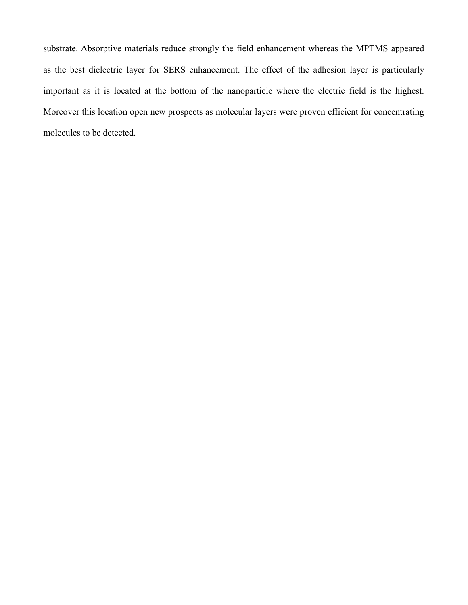substrate. Absorptive materials reduce strongly the field enhancement whereas the MPTMS appeared as the best dielectric layer for SERS enhancement. The effect of the adhesion layer is particularly important as it is located at the bottom of the nanoparticle where the electric field is the highest. Moreover this location open new prospects as molecular layers were proven efficient for concentrating molecules to be detected.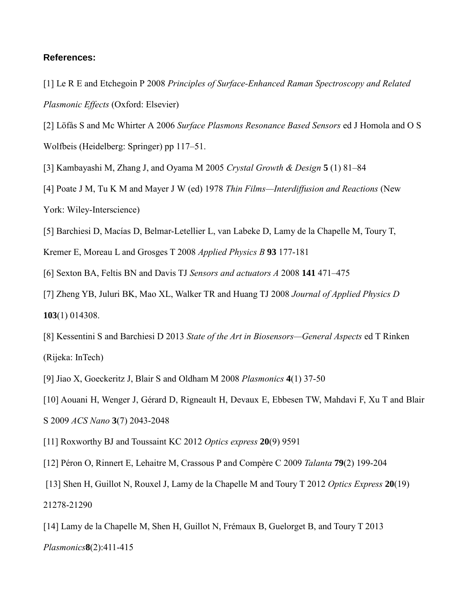## **References:**

- [1] Le R E and Etchegoin P 2008 *Principles of Surface-Enhanced Raman Spectroscopy and Related Plasmonic Effects* (Oxford: Elsevier)
- [2] Löfås S and Mc Whirter A 2006 *Surface Plasmons Resonance Based Sensors* ed J Homola and O S Wolfbeis (Heidelberg: Springer) pp 117–51.
- [3] Kambayashi M, Zhang J, and Oyama M 2005 *Crystal Growth & Design* **5** (1) 81–84
- [4] Poate J M, Tu K M and Mayer J W (ed) 1978 *Thin Films—Interdiffusion and Reactions* (New York: Wiley-Interscience)
- [5] Barchiesi D, Macías D, Belmar-Letellier L, van Labeke D, Lamy de la Chapelle M, Toury T,
- Kremer E, Moreau L and Grosges T 2008 *Applied Physics B* **93** 177-181
- [6] Sexton BA, Feltis BN and Davis TJ *Sensors and actuators A* 2008 **141** 471–475
- [7] Zheng YB, Juluri BK, Mao XL, Walker TR and Huang TJ 2008 *Journal of Applied Physics D* **103**(1) 014308.
- [8] Kessentini S and Barchiesi D 2013 *State of the Art in Biosensors—General Aspects* ed T Rinken (Rijeka: InTech)
- [9] Jiao X, Goeckeritz J, Blair S and Oldham M 2008 *Plasmonics* **4**(1) 37-50
- [10] Aouani H, Wenger J, Gérard D, Rigneault H, Devaux E, Ebbesen TW, Mahdavi F, Xu T and Blair S 2009 *ACS Nano* **3**(7) 2043-2048
- [11] Roxworthy BJ and Toussaint KC 2012 *Optics express* **20**(9) 9591
- [12] Péron O, Rinnert E, Lehaitre M, Crassous P and Compère C 2009 *Talanta* **79**(2) 199-204
- [13] Shen H, Guillot N, Rouxel J, Lamy de la Chapelle M and Toury T 2012 *Optics Express* **20**(19) 21278-21290
- [14] Lamy de la Chapelle M, Shen H, Guillot N, Frémaux B, Guelorget B, and Toury T 2013 *Plasmonics***8**(2):411-415